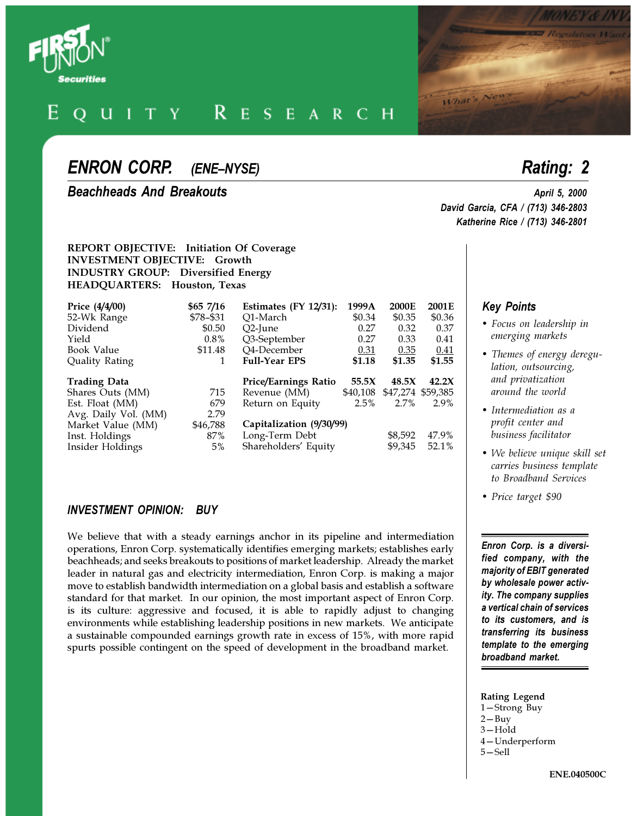

#### $I$  T Y  $\mathbf{R}$  $\mathbf{u}$  $E$ S  $E$  $\mathbf{A}$  $\mathbb{R}$ C.  $H$

# *ENRON CORP. (ENE-NYSE) Rating: 2*

*Beachheads And Breakouts April 5, 2000*

#### **REPORT OBJECTIVE: Initiation Of Coverage INVESTMENT OBJECTIVE: Growth INDUSTRY GROUP: Diversified Energy HEADQUARTERS: Houston, Texas**

| Price (4/4/00)       | \$65 7/16 | Estimates $(FY 12/31)$ :    | 1999A    | 2000E   | 2001E             |
|----------------------|-----------|-----------------------------|----------|---------|-------------------|
| 52-Wk Range          | \$78-\$31 | O1-March                    | \$0.34   | \$0.35  | \$0.36            |
| Dividend             | \$0.50    | $O2$ -June                  | 0.27     | 0.32    | 0.37              |
| Yield                | $0.8\%$   | Q3-September                | 0.27     | 0.33    | 0.41              |
| Book Value           | \$11.48   | Q4-December                 | 0.31     | 0.35    | 0.41              |
| Quality Rating       |           | <b>Full-Year EPS</b>        | \$1.18   | \$1.35  | \$1.55            |
|                      |           |                             |          |         |                   |
| <b>Trading Data</b>  |           | <b>Price/Earnings Ratio</b> | 55.5X    | 48.5X   | 42.2X             |
| Shares Outs (MM)     | 715       | Revenue (MM)                | \$40,108 |         | \$47,274 \$59,385 |
| Est. Float (MM)      | 679       | Return on Equity            | 2.5%     | 2.7%    | 2.9%              |
| Avg. Daily Vol. (MM) | 2.79      |                             |          |         |                   |
| Market Value (MM)    | \$46,788  | Capitalization (9/30/99)    |          |         |                   |
| Inst. Holdings       | 87%       | Long-Term Debt              |          | \$8,592 | 47.9%             |

### *INVESTMENT OPINION: BUY*

We believe that with a steady earnings anchor in its pipeline and intermediation operations, Enron Corp. systematically identifies emerging markets; establishes early beachheads; and seeks breakouts to positions of market leadership. Already the market leader in natural gas and electricity intermediation, Enron Corp. is making a major move to establish bandwidth intermediation on a global basis and establish a software standard for that market. In our opinion, the most important aspect of Enron Corp. is its culture: aggressive and focused, it is able to rapidly adjust to changing environments while establishing leadership positions in new markets. We anticipate a sustainable compounded earnings growth rate in excess of 15%, with more rapid spurts possible contingent on the speed of development in the broadband market.

*David Garcia, CFA / (713) 346-2803 Katherine Rice / (713) 346-2801*

What's New

### *Key Points*

- *Focus on leadership in emerging markets*
- *Themes of energy deregulation, outsourcing, and privatization around the world*
- *Intermediation as a profit center and business facilitator*
- *We believe unique skill set carries business template to Broadband Services*
- *Price target \$90*

*Enron Corp. is a diversified company, with the majority of EBIT generated by wholesale power activity. The company supplies a vertical chain of services to its customers, and is transferring its business template to the emerging broadband market.*

#### **Rating Legend**

- 1-Strong Buy
- $2 Buv$
- $3 -$ Hold
- 4-Underperform 5-Sell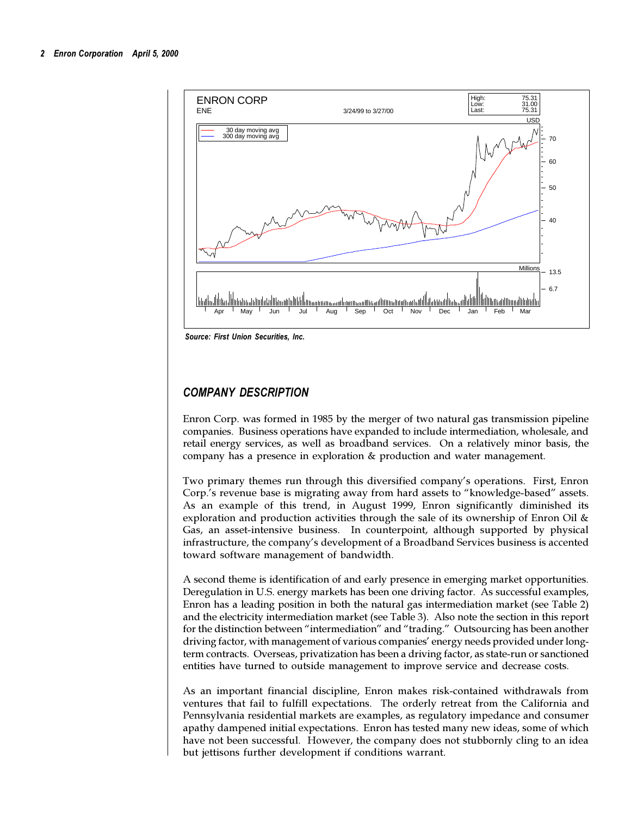

*Source: First Union Securities, Inc.*

# *COMPANY DESCRIPTION*

Enron Corp. was formed in 1985 by the merger of two natural gas transmission pipeline companies. Business operations have expanded to include intermediation, wholesale, and retail energy services, as well as broadband services. On a relatively minor basis, the company has a presence in exploration & production and water management.

Two primary themes run through this diversified company's operations. First, Enron Corp.'s revenue base is migrating away from hard assets to "knowledge-based" assets. As an example of this trend, in August 1999, Enron significantly diminished its exploration and production activities through the sale of its ownership of Enron Oil  $\&$ Gas, an asset-intensive business. In counterpoint, although supported by physical infrastructure, the company's development of a Broadband Services business is accented toward software management of bandwidth.

A second theme is identification of and early presence in emerging market opportunities. Deregulation in U.S. energy markets has been one driving factor. As successful examples, Enron has a leading position in both the natural gas intermediation market (see Table 2) and the electricity intermediation market (see Table 3). Also note the section in this report for the distinction between "intermediation" and "trading." Outsourcing has been another driving factor, with management of various companies' energy needs provided under longterm contracts. Overseas, privatization has been a driving factor, as state-run or sanctioned entities have turned to outside management to improve service and decrease costs.

As an important financial discipline, Enron makes risk-contained withdrawals from ventures that fail to fulfill expectations. The orderly retreat from the California and Pennsylvania residential markets are examples, as regulatory impedance and consumer apathy dampened initial expectations. Enron has tested many new ideas, some of which have not been successful. However, the company does not stubbornly cling to an idea but jettisons further development if conditions warrant.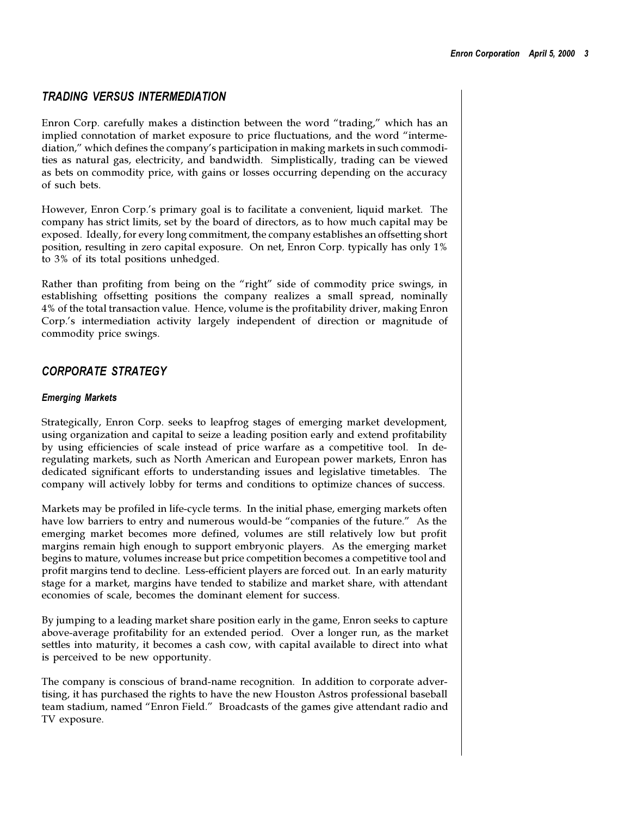# *TRADING VERSUS INTERMEDIATION*

Enron Corp. carefully makes a distinction between the word "trading," which has an implied connotation of market exposure to price fluctuations, and the word "intermediation," which defines the company's participation in making markets in such commodities as natural gas, electricity, and bandwidth. Simplistically, trading can be viewed as bets on commodity price, with gains or losses occurring depending on the accuracy of such bets.

However, Enron Corp.'s primary goal is to facilitate a convenient, liquid market. The company has strict limits, set by the board of directors, as to how much capital may be exposed. Ideally, for every long commitment, the company establishes an offsetting short position, resulting in zero capital exposure. On net, Enron Corp. typically has only 1% to 3% of its total positions unhedged.

Rather than profiting from being on the "right" side of commodity price swings, in establishing offsetting positions the company realizes a small spread, nominally 4% of the total transaction value. Hence, volume is the profitability driver, making Enron Corp.'s intermediation activity largely independent of direction or magnitude of commodity price swings.

# *CORPORATE STRATEGY*

#### *Emerging Markets*

Strategically, Enron Corp. seeks to leapfrog stages of emerging market development, using organization and capital to seize a leading position early and extend profitability by using efficiencies of scale instead of price warfare as a competitive tool. In deregulating markets, such as North American and European power markets, Enron has dedicated significant efforts to understanding issues and legislative timetables. The company will actively lobby for terms and conditions to optimize chances of success.

Markets may be profiled in life-cycle terms. In the initial phase, emerging markets often have low barriers to entry and numerous would-be "companies of the future." As the emerging market becomes more defined, volumes are still relatively low but profit margins remain high enough to support embryonic players. As the emerging market begins to mature, volumes increase but price competition becomes a competitive tool and profit margins tend to decline. Less-efficient players are forced out. In an early maturity stage for a market, margins have tended to stabilize and market share, with attendant economies of scale, becomes the dominant element for success.

By jumping to a leading market share position early in the game, Enron seeks to capture above-average profitability for an extended period. Over a longer run, as the market settles into maturity, it becomes a cash cow, with capital available to direct into what is perceived to be new opportunity.

The company is conscious of brand-name recognition. In addition to corporate advertising, it has purchased the rights to have the new Houston Astros professional baseball team stadium, named "Enron Field." Broadcasts of the games give attendant radio and TV exposure.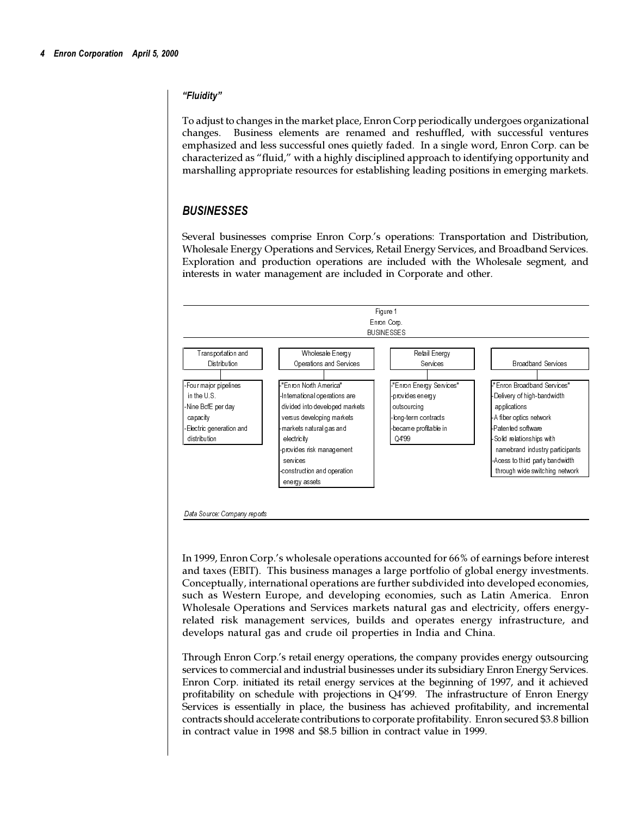#### *Fluidity*

To adjust to changes in the market place, Enron Corp periodically undergoes organizational changes. Business elements are renamed and reshuffled, with successful ventures emphasized and less successful ones quietly faded. In a single word, Enron Corp. can be characterized as "fluid," with a highly disciplined approach to identifying opportunity and marshalling appropriate resources for establishing leading positions in emerging markets.

# *BUSINESSES*

Several businesses comprise Enron Corp.'s operations: Transportation and Distribution, Wholesale Energy Operations and Services, Retail Energy Services, and Broadband Services. Exploration and production operations are included with the Wholesale segment, and interests in water management are included in Corporate and other.



In 1999, Enron Corp.'s wholesale operations accounted for 66% of earnings before interest and taxes (EBIT). This business manages a large portfolio of global energy investments. Conceptually, international operations are further subdivided into developed economies, such as Western Europe, and developing economies, such as Latin America. Enron Wholesale Operations and Services markets natural gas and electricity, offers energyrelated risk management services, builds and operates energy infrastructure, and develops natural gas and crude oil properties in India and China.

Through Enron Corp.'s retail energy operations, the company provides energy outsourcing services to commercial and industrial businesses under its subsidiary Enron Energy Services. Enron Corp. initiated its retail energy services at the beginning of 1997, and it achieved profitability on schedule with projections in Q499. The infrastructure of Enron Energy Services is essentially in place, the business has achieved profitability, and incremental contracts should accelerate contributions to corporate profitability. Enron secured \$3.8 billion in contract value in 1998 and \$8.5 billion in contract value in 1999.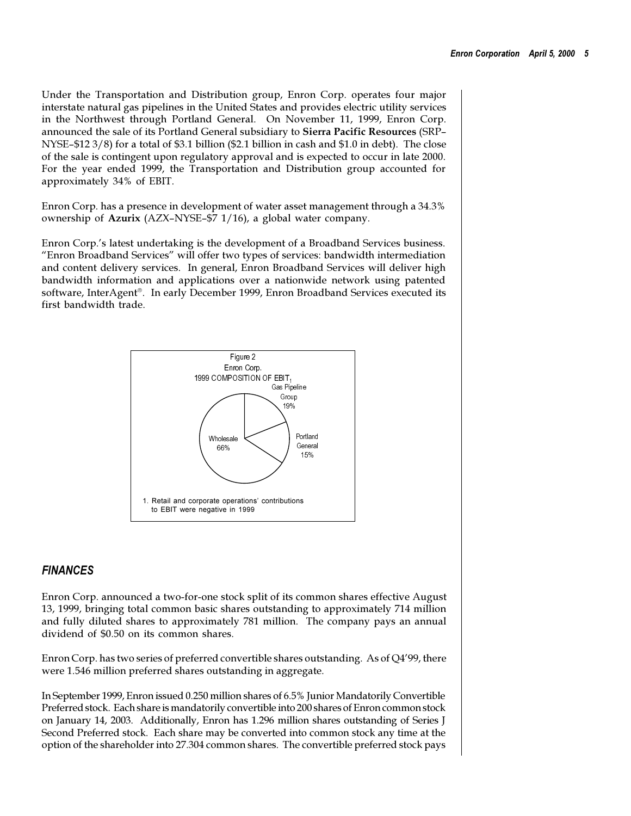Under the Transportation and Distribution group, Enron Corp. operates four major interstate natural gas pipelines in the United States and provides electric utility services in the Northwest through Portland General. On November 11, 1999, Enron Corp. announced the sale of its Portland General subsidiary to **Sierra Pacific Resources** (SRP NYSE- $$12\frac{3}{8}$  for a total of \$3.1 billion (\$2.1 billion in cash and \$1.0 in debt). The close of the sale is contingent upon regulatory approval and is expected to occur in late 2000. For the year ended 1999, the Transportation and Distribution group accounted for approximately 34% of EBIT.

Enron Corp. has a presence in development of water asset management through a 34.3% ownership of Azurix (AZX-NYSE-\$7 1/16), a global water company.

Enron Corp.'s latest undertaking is the development of a Broadband Services business. "Enron Broadband Services" will offer two types of services: bandwidth intermediation and content delivery services. In general, Enron Broadband Services will deliver high bandwidth information and applications over a nationwide network using patented software, InterAgent®. In early December 1999, Enron Broadband Services executed its first bandwidth trade.



### *FINANCES*

Enron Corp. announced a two-for-one stock split of its common shares effective August 13, 1999, bringing total common basic shares outstanding to approximately 714 million and fully diluted shares to approximately 781 million. The company pays an annual dividend of \$0.50 on its common shares.

Enron Corp. has two series of preferred convertible shares outstanding. As of Q499, there were 1.546 million preferred shares outstanding in aggregate.

In September 1999, Enron issued 0.250 million shares of 6.5% Junior Mandatorily Convertible Preferred stock. Each share is mandatorily convertible into 200 shares of Enron common stock on January 14, 2003. Additionally, Enron has 1.296 million shares outstanding of Series J Second Preferred stock. Each share may be converted into common stock any time at the option of the shareholder into 27.304 common shares. The convertible preferred stock pays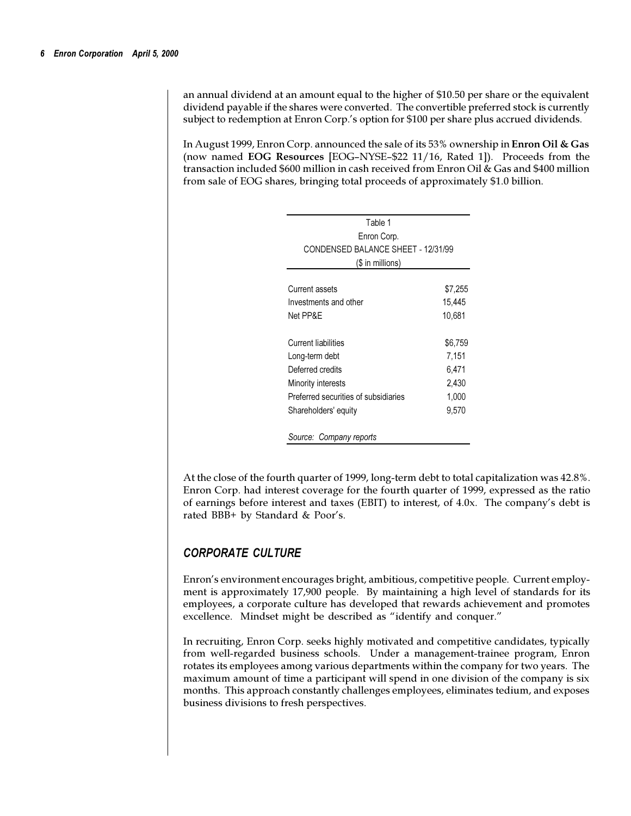an annual dividend at an amount equal to the higher of \$10.50 per share or the equivalent dividend payable if the shares were converted. The convertible preferred stock is currently subject to redemption at Enron Corp.'s option for \$100 per share plus accrued dividends.

In August 1999, Enron Corp. announced the sale of its 53% ownership in **Enron Oil & Gas** (now named EOG Resources [EOG-NYSE-\$22 11/16, Rated 1]). Proceeds from the transaction included \$600 million in cash received from Enron Oil & Gas and \$400 million from sale of EOG shares, bringing total proceeds of approximately \$1.0 billion.

| Table 1                              |         |
|--------------------------------------|---------|
| Enron Corp.                          |         |
| CONDENSED BALANCE SHEET - 12/31/99   |         |
| (\$ in millions)                     |         |
| Current assets                       | \$7,255 |
| Investments and other                | 15,445  |
| Net PP&F                             | 10,681  |
| Current liabilities                  | \$6,759 |
| Long-term debt                       | 7,151   |
| Deferred credits                     | 6,471   |
| Minority interests                   | 2,430   |
| Preferred securities of subsidiaries | 1,000   |
| Shareholders' equity                 | 9,570   |
| Source: Company reports              |         |

At the close of the fourth quarter of 1999, long-term debt to total capitalization was 42.8%. Enron Corp. had interest coverage for the fourth quarter of 1999, expressed as the ratio of earnings before interest and taxes (EBIT) to interest, of 4.0x. The companys debt is rated BBB+ by Standard & Poor's.

# *CORPORATE CULTURE*

Enron's environment encourages bright, ambitious, competitive people. Current employment is approximately 17,900 people. By maintaining a high level of standards for its employees, a corporate culture has developed that rewards achievement and promotes excellence. Mindset might be described as "identify and conquer."

In recruiting, Enron Corp. seeks highly motivated and competitive candidates, typically from well-regarded business schools. Under a management-trainee program, Enron rotates its employees among various departments within the company for two years. The maximum amount of time a participant will spend in one division of the company is six months. This approach constantly challenges employees, eliminates tedium, and exposes business divisions to fresh perspectives.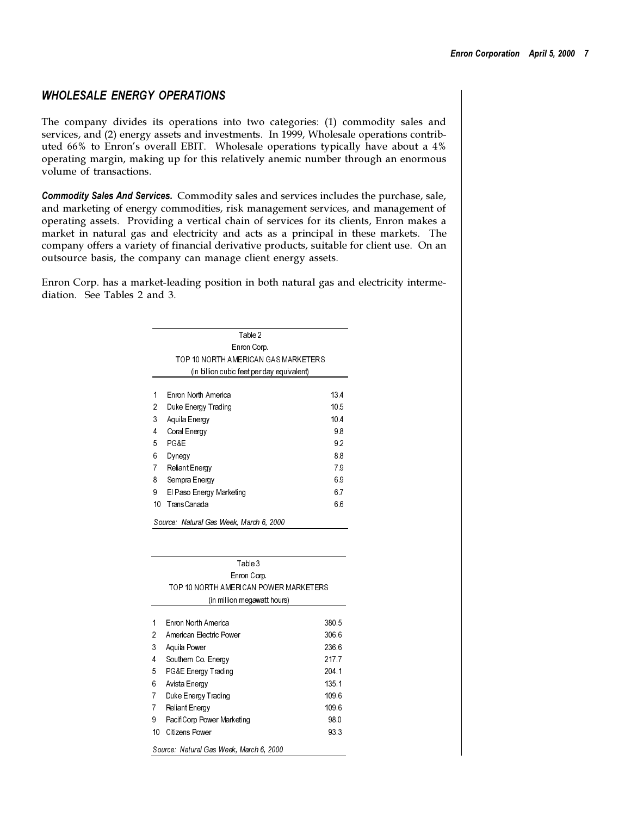# *WHOLESALE ENERGY OPERATIONS*

The company divides its operations into two categories: (1) commodity sales and services, and (2) energy assets and investments. In 1999, Wholesale operations contributed  $66\%$  to Enron's overall EBIT. Wholesale operations typically have about a  $4\%$ operating margin, making up for this relatively anemic number through an enormous volume of transactions.

*Commodity Sales And Services.* Commodity sales and services includes the purchase, sale, and marketing of energy commodities, risk management services, and management of operating assets. Providing a vertical chain of services for its clients, Enron makes a market in natural gas and electricity and acts as a principal in these markets. The company offers a variety of financial derivative products, suitable for client use. On an outsource basis, the company can manage client energy assets.

Enron Corp. has a market-leading position in both natural gas and electricity intermediation. See Tables 2 and 3.

|                                      | Table 2                                              |                 |
|--------------------------------------|------------------------------------------------------|-----------------|
|                                      | Enron Corp.                                          |                 |
|                                      | TOP 10 NORTH AMERICAN GAS MARKETERS                  |                 |
|                                      | (in billion cubic feet per day equivalent)           |                 |
|                                      |                                                      |                 |
| 1                                    | Enron North America                                  | 13.4            |
| 2                                    | Duke Energy Trading                                  | 10.5            |
| 3                                    | Aquila Energy                                        | 10 <sub>4</sub> |
| 4                                    | Coral Energy                                         | 98              |
| 5                                    | PG&E                                                 | 92              |
| 6                                    | Dynegy                                               | 8.8             |
| $\overline{7}$                       | <b>Reliant Energy</b>                                | 79              |
| 8                                    | Sempra Energy                                        | 69              |
| 9                                    | El Paso Energy Marketing                             | 6.7             |
| 10                                   | <b>TransCanada</b>                                   | 6.6             |
|                                      |                                                      |                 |
|                                      | Table 3                                              |                 |
|                                      |                                                      |                 |
|                                      | Enron Corp.<br>TOP 10 NORTH AMERICAN POWER MARKETERS |                 |
|                                      | (in million megawatt hours)                          |                 |
|                                      |                                                      |                 |
|                                      | Enron North America                                  | 380.5           |
|                                      | American Electric Power                              | 306.6           |
|                                      | Aquila Power                                         | 236.6<br>217.7  |
|                                      | Southern Co. Energy                                  | 204.1           |
|                                      | PG&E Energy Trading                                  | 135.1           |
|                                      | Avista Energy<br>Duke Energy Trading                 | 109.6           |
| 1<br>2<br>3<br>4<br>5<br>6<br>7<br>7 | <b>Reliant Energy</b>                                | 109.6           |
| 9                                    | PacifiCorp Power Marketing                           | 98.0            |
| 10                                   | Citizens Power                                       | 933             |

Source: Natural Gas Week, March 6, 2000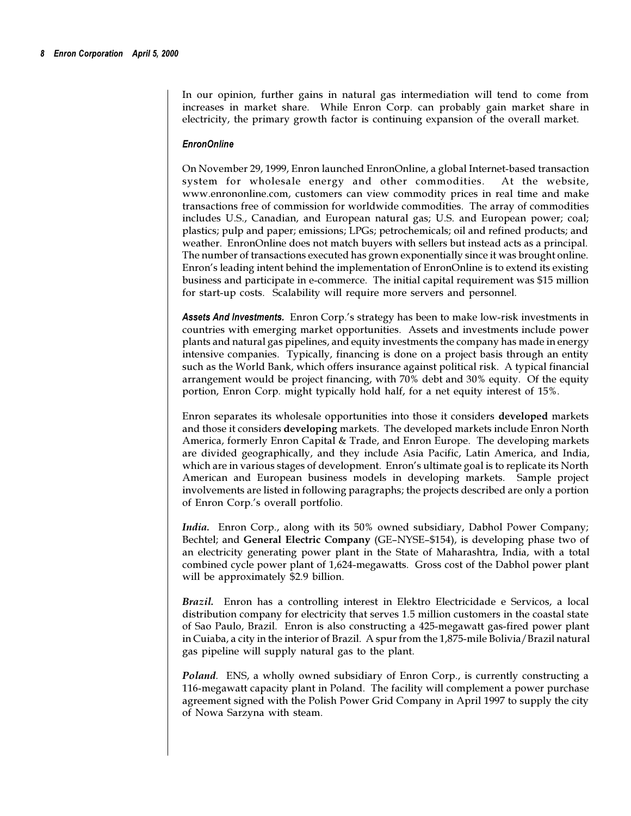In our opinion, further gains in natural gas intermediation will tend to come from increases in market share. While Enron Corp. can probably gain market share in electricity, the primary growth factor is continuing expansion of the overall market.

#### *EnronOnline*

On November 29, 1999, Enron launched EnronOnline, a global Internet-based transaction system for wholesale energy and other commodities. At the website, www.enrononline.com, customers can view commodity prices in real time and make transactions free of commission for worldwide commodities. The array of commodities includes U.S., Canadian, and European natural gas; U.S. and European power; coal; plastics; pulp and paper; emissions; LPGs; petrochemicals; oil and refined products; and weather. EnronOnline does not match buyers with sellers but instead acts as a principal. The number of transactions executed has grown exponentially since it was brought online. Enron's leading intent behind the implementation of EnronOnline is to extend its existing business and participate in e-commerce. The initial capital requirement was \$15 million for start-up costs. Scalability will require more servers and personnel.

Assets And Investments. Enron Corp.'s strategy has been to make low-risk investments in countries with emerging market opportunities. Assets and investments include power plants and natural gas pipelines, and equity investments the company has made in energy intensive companies. Typically, financing is done on a project basis through an entity such as the World Bank, which offers insurance against political risk. A typical financial arrangement would be project financing, with 70% debt and 30% equity. Of the equity portion, Enron Corp. might typically hold half, for a net equity interest of 15%.

Enron separates its wholesale opportunities into those it considers **developed** markets and those it considers **developing** markets. The developed markets include Enron North America, formerly Enron Capital & Trade, and Enron Europe. The developing markets are divided geographically, and they include Asia Pacific, Latin America, and India, which are in various stages of development. Enron's ultimate goal is to replicate its North American and European business models in developing markets. Sample project involvements are listed in following paragraphs; the projects described are only a portion of Enron Corp.'s overall portfolio.

*India.* Enron Corp., along with its 50% owned subsidiary, Dabhol Power Company; Bechtel; and General Electric Company (GE-NYSE-\$154), is developing phase two of an electricity generating power plant in the State of Maharashtra, India, with a total combined cycle power plant of 1,624-megawatts. Gross cost of the Dabhol power plant will be approximately \$2.9 billion.

*Brazil.*Enron has a controlling interest in Elektro Electricidade e Servicos, a local distribution company for electricity that serves 1.5 million customers in the coastal state of Sao Paulo, Brazil. Enron is also constructing a 425-megawatt gas-fired power plant in Cuiaba, a city in the interior of Brazil. A spur from the 1,875-mile Bolivia/Brazil natural gas pipeline will supply natural gas to the plant.

*Poland.* ENS, a wholly owned subsidiary of Enron Corp., is currently constructing a 116-megawatt capacity plant in Poland. The facility will complement a power purchase agreement signed with the Polish Power Grid Company in April 1997 to supply the city of Nowa Sarzyna with steam.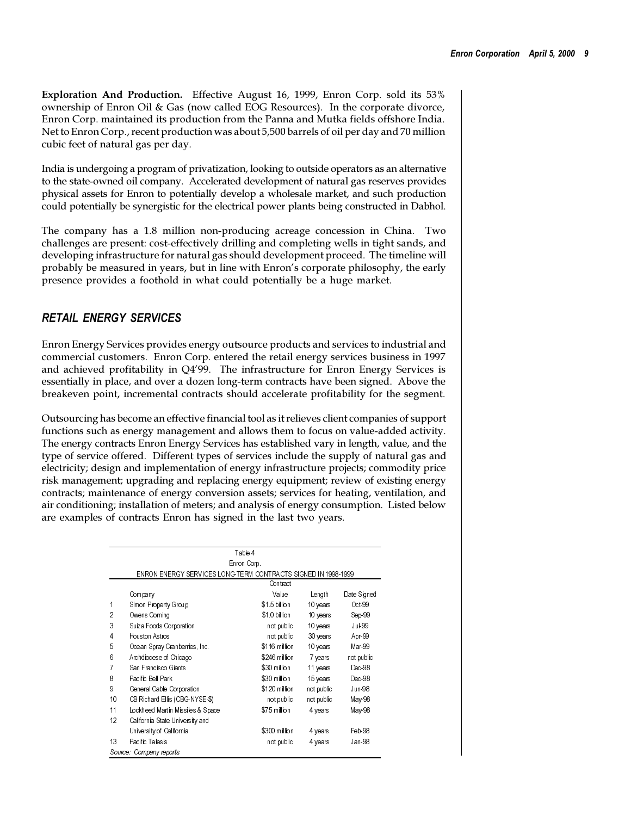**Exploration And Production.** Effective August 16, 1999, Enron Corp. sold its 53% ownership of Enron Oil & Gas (now called EOG Resources). In the corporate divorce, Enron Corp. maintained its production from the Panna and Mutka fields offshore India. Net to Enron Corp., recent production was about 5,500 barrels of oil per day and 70 million cubic feet of natural gas per day.

India is undergoing a program of privatization, looking to outside operators as an alternative to the state-owned oil company. Accelerated development of natural gas reserves provides physical assets for Enron to potentially develop a wholesale market, and such production could potentially be synergistic for the electrical power plants being constructed in Dabhol.

The company has a 1.8 million non-producing acreage concession in China. Two challenges are present: cost-effectively drilling and completing wells in tight sands, and developing infrastructure for natural gas should development proceed. The timeline will probably be measured in years, but in line with Enron's corporate philosophy, the early presence provides a foothold in what could potentially be a huge market.

# *RETAIL ENERGY SERVICES*

Enron Energy Services provides energy outsource products and services to industrial and commercial customers. Enron Corp. entered the retail energy services business in 1997 and achieved profitability in Q499. The infrastructure for Enron Energy Services is essentially in place, and over a dozen long-term contracts have been signed. Above the breakeven point, incremental contracts should accelerate profitability for the segment.

Outsourcing has become an effective financial tool as it relieves client companies of support functions such as energy management and allows them to focus on value-added activity. The energy contracts Enron Energy Services has established vary in length, value, and the type of service offered. Different types of services include the supply of natural gas and electricity; design and implementation of energy infrastructure projects; commodity price risk management; upgrading and replacing energy equipment; review of existing energy contracts; maintenance of energy conversion assets; services for heating, ventilation, and air conditioning; installation of meters; and analysis of energy consumption. Listed below are examples of contracts Enron has signed in the last two years.

|                |                                                               | Table 4       |            |             |  |  |
|----------------|---------------------------------------------------------------|---------------|------------|-------------|--|--|
|                | Enron Corp.                                                   |               |            |             |  |  |
|                | ENRON ENERGY SERVICES LONG TERM CONTRACTS SIGNED IN 1998-1999 |               |            |             |  |  |
|                |                                                               | Contract      |            |             |  |  |
|                | Company                                                       | Value         | Length     | Date Signed |  |  |
| 1              | Simon Property Group                                          | \$1.5 billion | 10 years   | Oct-99      |  |  |
| $\overline{2}$ | Owens Corning                                                 | \$1.0 billion | 10 years   | Sep-99      |  |  |
| 3              | Suiza Foods Corporation                                       | not public    | 10 years   | Jul-99      |  |  |
| 4              | Houston Astros                                                | not public    | 30 years   | Apr-99      |  |  |
| 5              | Ocean Spray Cranberries, Inc.                                 | \$116 million | 10 years   | Mar-99      |  |  |
| 6              | Archdiocese of Chicago                                        | \$246 million | 7 years    | not public  |  |  |
| 7              | San Francisco Giants                                          | \$30 million  | 11 years   | Dec-98      |  |  |
| 8              | Pacific Bell Park                                             | \$30 million  | 15 years   | Dec-98      |  |  |
| 9              | General Cable Corporation                                     | \$120 million | not public | Jun-98      |  |  |
| 10             | CB Richard Ellis (CBG-NYSE-\$)                                | not public    | not public | May-98      |  |  |
| 11             | Lockheed Martin Missiles & Space                              | \$75 million  | 4 years    | May-98      |  |  |
| 12             | California State University and                               |               |            |             |  |  |
|                | University of California                                      | \$300 million | 4 years    | Feb-98      |  |  |
| 13             | Pacific Telesis                                               | not public    | 4 years    | Jan-98      |  |  |
|                | Source: Company reports                                       |               |            |             |  |  |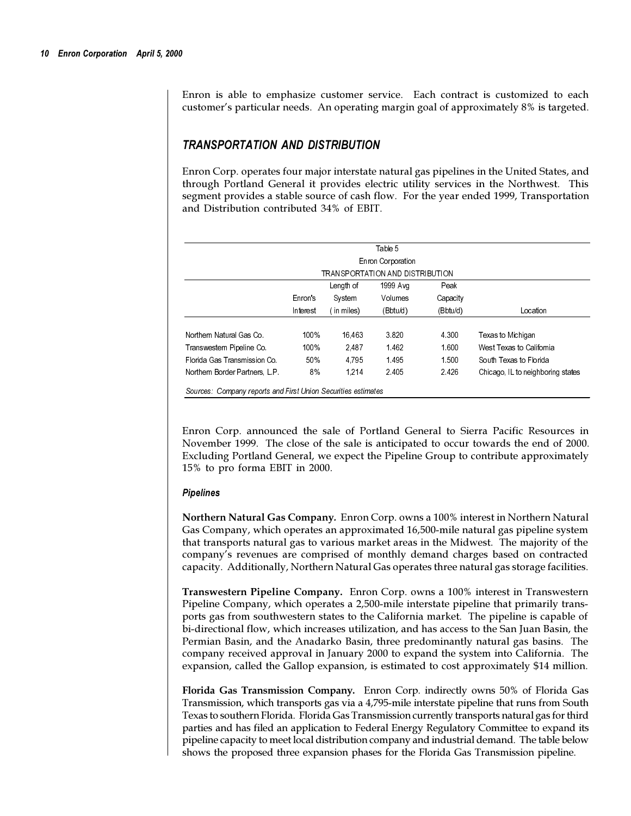Enron is able to emphasize customer service. Each contract is customized to each customer's particular needs. An operating margin goal of approximately 8% is targeted.

### *TRANSPORTATION AND DISTRIBUTION*

Enron Corp. operates four major interstate natural gas pipelines in the United States, and through Portland General it provides electric utility services in the Northwest. This segment provides a stable source of cash flow. For the year ended 1999, Transportation and Distribution contributed 34% of EBIT.

| Table 5                         |          |           |                   |          |                                   |  |
|---------------------------------|----------|-----------|-------------------|----------|-----------------------------------|--|
|                                 |          |           | Enron Corporation |          |                                   |  |
| TRANSPORTATION AND DISTRIBUTION |          |           |                   |          |                                   |  |
|                                 |          | Length of | 1999 Avg          | Peak     |                                   |  |
|                                 | Enron's  | System    | Volumes           | Capacity |                                   |  |
|                                 | Interest | in miles) | (Bbtu/d)          | (Bbtu/d) | Location                          |  |
|                                 |          |           |                   |          |                                   |  |
| Northern Natural Gas Co.        | 100%     | 16.463    | 3.820             | 4 3 0 0  | Texas to Michigan                 |  |
| Transwestern Pipeline Co.       | 100%     | 2.487     | 1.462             | 1.600    | West Texas to California          |  |
| Florida Gas Transmission Co.    | 50%      | 4.795     | 1.495             | 1.500    | South Texas to Florida            |  |
| Northern Border Partners, L.P.  | 8%       | 1.214     | 2.405             | 2.426    | Chicago. IL to neighboring states |  |

Enron Corp. announced the sale of Portland General to Sierra Pacific Resources in November 1999. The close of the sale is anticipated to occur towards the end of 2000. Excluding Portland General, we expect the Pipeline Group to contribute approximately 15% to pro forma EBIT in 2000.

#### *Pipelines*

**Northern Natural Gas Company***.* Enron Corp. owns a 100% interest in Northern Natural Gas Company, which operates an approximated 16,500-mile natural gas pipeline system that transports natural gas to various market areas in the Midwest. The majority of the companys revenues are comprised of monthly demand charges based on contracted capacity. Additionally, Northern Natural Gas operates three natural gas storage facilities.

**Transwestern Pipeline Company.** Enron Corp. owns a 100% interest in Transwestern Pipeline Company, which operates a 2,500-mile interstate pipeline that primarily transports gas from southwestern states to the California market. The pipeline is capable of bi-directional flow, which increases utilization, and has access to the San Juan Basin, the Permian Basin, and the Anadarko Basin, three predominantly natural gas basins. The company received approval in January 2000 to expand the system into California. The expansion, called the Gallop expansion, is estimated to cost approximately \$14 million.

**Florida Gas Transmission Company.** Enron Corp. indirectly owns 50% of Florida Gas Transmission, which transports gas via a 4,795-mile interstate pipeline that runs from South Texas to southern Florida. Florida Gas Transmission currently transports natural gas for third parties and has filed an application to Federal Energy Regulatory Committee to expand its pipeline capacity to meet local distribution company and industrial demand. The table below shows the proposed three expansion phases for the Florida Gas Transmission pipeline.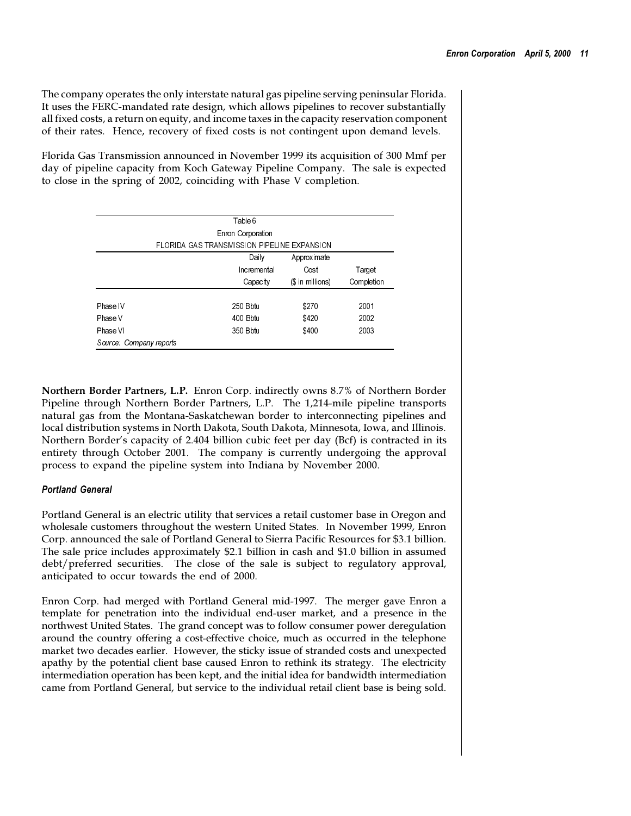The company operates the only interstate natural gas pipeline serving peninsular Florida. It uses the FERC-mandated rate design, which allows pipelines to recover substantially all fixed costs, a return on equity, and income taxes in the capacity reservation component of their rates. Hence, recovery of fixed costs is not contingent upon demand levels.

Florida Gas Transmission announced in November 1999 its acquisition of 300 Mmf per day of pipeline capacity from Koch Gateway Pipeline Company. The sale is expected to close in the spring of 2002, coinciding with Phase V completion.

|                         | Table 6                                     |                   |            |
|-------------------------|---------------------------------------------|-------------------|------------|
|                         | Enron Corporation                           |                   |            |
|                         | FLORIDA GAS TRANSMISSION PIPELINE EXPANSION |                   |            |
|                         | Daily                                       | Approximate       |            |
|                         | Incremental                                 | Cost              | Target     |
|                         | Capacity                                    | $($$ in millions) | Completion |
| Phase IV                | 250 Bbtu                                    | \$270             | 2001       |
| Phase V                 | 400 Bbtu                                    | \$420             | 2002       |
| Phase VI                | 350 Bbtu                                    | \$400             | 2003       |
| Source: Company reports |                                             |                   |            |

**Northern Border Partners, L.P.** Enron Corp. indirectly owns 8.7% of Northern Border Pipeline through Northern Border Partners, L.P. The 1,214-mile pipeline transports natural gas from the Montana-Saskatchewan border to interconnecting pipelines and local distribution systems in North Dakota, South Dakota, Minnesota, Iowa, and Illinois. Northern Border's capacity of 2.404 billion cubic feet per day (Bcf) is contracted in its entirety through October 2001. The company is currently undergoing the approval process to expand the pipeline system into Indiana by November 2000.

### *Portland General*

Portland General is an electric utility that services a retail customer base in Oregon and wholesale customers throughout the western United States. In November 1999, Enron Corp. announced the sale of Portland General to Sierra Pacific Resources for \$3.1 billion. The sale price includes approximately \$2.1 billion in cash and \$1.0 billion in assumed debt/preferred securities. The close of the sale is subject to regulatory approval, anticipated to occur towards the end of 2000.

Enron Corp. had merged with Portland General mid-1997. The merger gave Enron a template for penetration into the individual end-user market, and a presence in the northwest United States. The grand concept was to follow consumer power deregulation around the country offering a cost-effective choice, much as occurred in the telephone market two decades earlier. However, the sticky issue of stranded costs and unexpected apathy by the potential client base caused Enron to rethink its strategy. The electricity intermediation operation has been kept, and the initial idea for bandwidth intermediation came from Portland General, but service to the individual retail client base is being sold.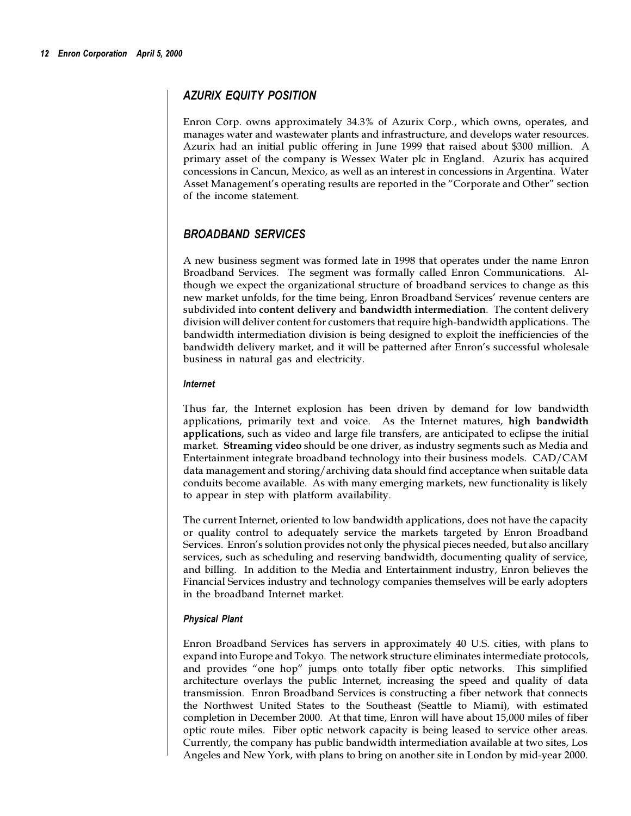# *AZURIX EQUITY POSITION*

Enron Corp. owns approximately 34.3% of Azurix Corp., which owns, operates, and manages water and wastewater plants and infrastructure, and develops water resources. Azurix had an initial public offering in June 1999 that raised about \$300 million. A primary asset of the company is Wessex Water plc in England. Azurix has acquired concessions in Cancun, Mexico, as well as an interest in concessions in Argentina. Water Asset Management's operating results are reported in the "Corporate and Other" section of the income statement.

# *BROADBAND SERVICES*

A new business segment was formed late in 1998 that operates under the name Enron Broadband Services. The segment was formally called Enron Communications. Although we expect the organizational structure of broadband services to change as this new market unfolds, for the time being, Enron Broadband Services' revenue centers are subdivided into **content delivery** and **bandwidth intermediation**. The content delivery division will deliver content for customers that require high-bandwidth applications. The bandwidth intermediation division is being designed to exploit the inefficiencies of the bandwidth delivery market, and it will be patterned after Enron's successful wholesale business in natural gas and electricity.

#### *Internet*

Thus far, the Internet explosion has been driven by demand for low bandwidth applications, primarily text and voice. As the Internet matures, **high bandwidth applications,** such as video and large file transfers, are anticipated to eclipse the initial market. **Streaming video** should be one driver, as industry segments such as Media and Entertainment integrate broadband technology into their business models. CAD/CAM data management and storing/archiving data should find acceptance when suitable data conduits become available. As with many emerging markets, new functionality is likely to appear in step with platform availability.

The current Internet, oriented to low bandwidth applications, does not have the capacity or quality control to adequately service the markets targeted by Enron Broadband Services. Enron's solution provides not only the physical pieces needed, but also ancillary services, such as scheduling and reserving bandwidth, documenting quality of service, and billing. In addition to the Media and Entertainment industry, Enron believes the Financial Services industry and technology companies themselves will be early adopters in the broadband Internet market.

### *Physical Plant*

Enron Broadband Services has servers in approximately 40 U.S. cities, with plans to expand into Europe and Tokyo. The network structure eliminates intermediate protocols, and provides "one hop" jumps onto totally fiber optic networks. This simplified architecture overlays the public Internet, increasing the speed and quality of data transmission. Enron Broadband Services is constructing a fiber network that connects the Northwest United States to the Southeast (Seattle to Miami), with estimated completion in December 2000. At that time, Enron will have about 15,000 miles of fiber optic route miles. Fiber optic network capacity is being leased to service other areas. Currently, the company has public bandwidth intermediation available at two sites, Los Angeles and New York, with plans to bring on another site in London by mid-year 2000.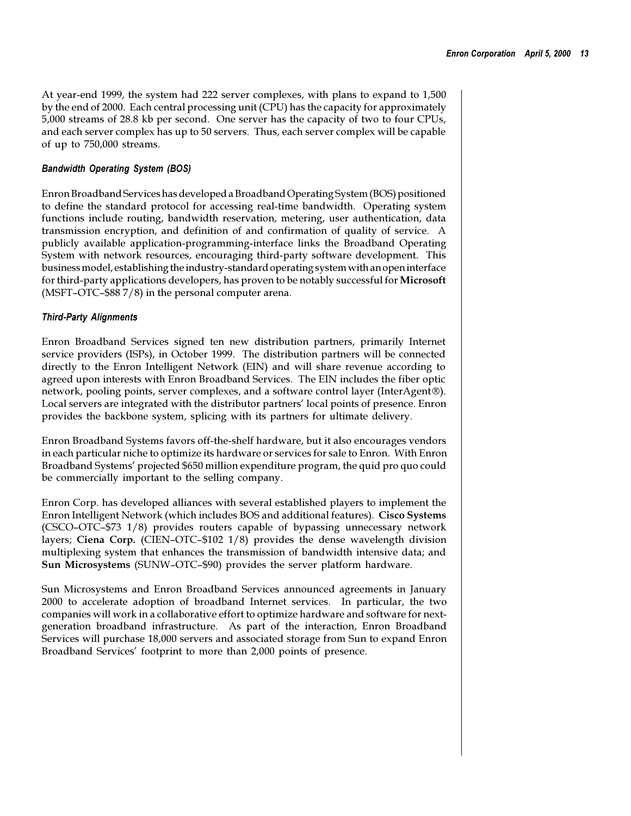At year-end 1999, the system had 222 server complexes, with plans to expand to 1,500 by the end of 2000. Each central processing unit (CPU) has the capacity for approximately 5,000 streams of 28.8 kb per second. One server has the capacity of two to four CPUs, and each server complex has up to 50 servers. Thus, each server complex will be capable of up to 750,000 streams.

#### *Bandwidth Operating System (BOS)*

Enron Broadband Services has developed a Broadband Operating System (BOS) positioned to define the standard protocol for accessing real-time bandwidth. Operating system functions include routing, bandwidth reservation, metering, user authentication, data transmission encryption, and definition of and confirmation of quality of service. A publicly available application-programming-interface links the Broadband Operating System with network resources, encouraging third-party software development. This business model, establishing the industry-standard operating system with an open interface for third-party applications developers, has proven to be notably successful for **Microsoft** (MSFT-OTC- $$887/8$ ) in the personal computer arena.

#### *Third-Party Alignments*

Enron Broadband Services signed ten new distribution partners, primarily Internet service providers (ISPs), in October 1999. The distribution partners will be connected directly to the Enron Intelligent Network (EIN) and will share revenue according to agreed upon interests with Enron Broadband Services. The EIN includes the fiber optic network, pooling points, server complexes, and a software control layer (InterAgent®). Local servers are integrated with the distributor partners' local points of presence. Enron provides the backbone system, splicing with its partners for ultimate delivery.

Enron Broadband Systems favors off-the-shelf hardware, but it also encourages vendors in each particular niche to optimize its hardware or services for sale to Enron. With Enron Broadband Systems' projected \$650 million expenditure program, the quid pro quo could be commercially important to the selling company.

Enron Corp. has developed alliances with several established players to implement the Enron Intelligent Network (which includes BOS and additional features). **Cisco Systems**  $(CSCO-OTC-$73 1/8)$  provides routers capable of bypassing unnecessary network layers; Ciena Corp. (CIEN-OTC-\$102 1/8) provides the dense wavelength division multiplexing system that enhances the transmission of bandwidth intensive data; and **Sun Microsystems** (SUNW-OTC-\$90) provides the server platform hardware.

Sun Microsystems and Enron Broadband Services announced agreements in January 2000 to accelerate adoption of broadband Internet services. In particular, the two companies will work in a collaborative effort to optimize hardware and software for nextgeneration broadband infrastructure. As part of the interaction, Enron Broadband Services will purchase 18,000 servers and associated storage from Sun to expand Enron Broadband Services' footprint to more than 2,000 points of presence.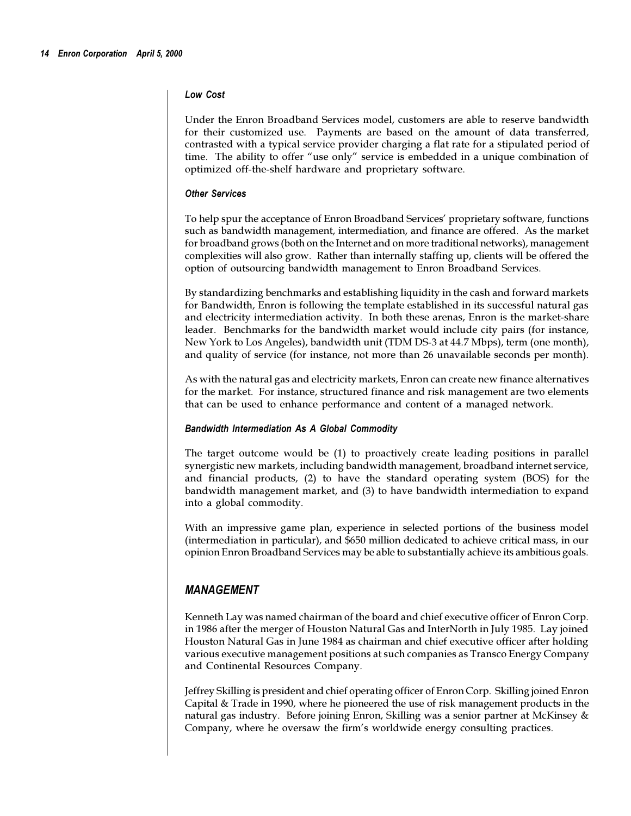#### *Low Cost*

Under the Enron Broadband Services model, customers are able to reserve bandwidth for their customized use. Payments are based on the amount of data transferred, contrasted with a typical service provider charging a flat rate for a stipulated period of time. The ability to offer "use only" service is embedded in a unique combination of optimized off-the-shelf hardware and proprietary software.

#### *Other Services*

To help spur the acceptance of Enron Broadband Services' proprietary software, functions such as bandwidth management, intermediation, and finance are offered. As the market for broadband grows (both on the Internet and on more traditional networks), management complexities will also grow. Rather than internally staffing up, clients will be offered the option of outsourcing bandwidth management to Enron Broadband Services.

By standardizing benchmarks and establishing liquidity in the cash and forward markets for Bandwidth, Enron is following the template established in its successful natural gas and electricity intermediation activity. In both these arenas, Enron is the market-share leader. Benchmarks for the bandwidth market would include city pairs (for instance, New York to Los Angeles), bandwidth unit (TDM DS-3 at 44.7 Mbps), term (one month), and quality of service (for instance, not more than 26 unavailable seconds per month).

As with the natural gas and electricity markets, Enron can create new finance alternatives for the market. For instance, structured finance and risk management are two elements that can be used to enhance performance and content of a managed network.

#### *Bandwidth Intermediation As A Global Commodity*

The target outcome would be (1) to proactively create leading positions in parallel synergistic new markets, including bandwidth management, broadband internet service, and financial products, (2) to have the standard operating system (BOS) for the bandwidth management market, and (3) to have bandwidth intermediation to expand into a global commodity.

With an impressive game plan, experience in selected portions of the business model (intermediation in particular), and \$650 million dedicated to achieve critical mass, in our opinion Enron Broadband Services may be able to substantially achieve its ambitious goals.

# *MANAGEMENT*

Kenneth Lay was named chairman of the board and chief executive officer of Enron Corp. in 1986 after the merger of Houston Natural Gas and InterNorth in July 1985. Lay joined Houston Natural Gas in June 1984 as chairman and chief executive officer after holding various executive management positions at such companies as Transco Energy Company and Continental Resources Company.

Jeffrey Skilling is president and chief operating officer of Enron Corp. Skilling joined Enron Capital & Trade in 1990, where he pioneered the use of risk management products in the natural gas industry. Before joining Enron, Skilling was a senior partner at McKinsey & Company, where he oversaw the firm's worldwide energy consulting practices.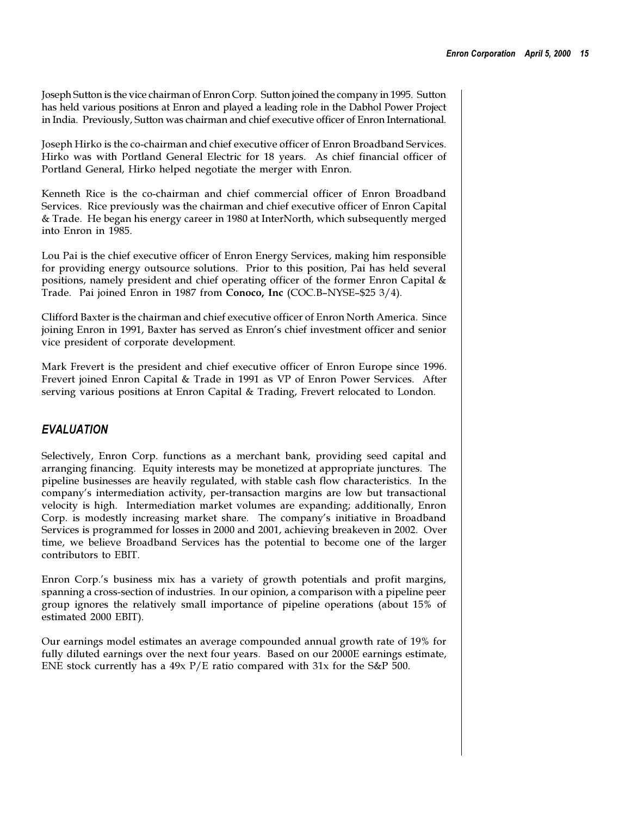Joseph Sutton is the vice chairman of Enron Corp. Sutton joined the company in 1995. Sutton has held various positions at Enron and played a leading role in the Dabhol Power Project in India. Previously, Sutton was chairman and chief executive officer of Enron International.

Joseph Hirko is the co-chairman and chief executive officer of Enron Broadband Services. Hirko was with Portland General Electric for 18 years. As chief financial officer of Portland General, Hirko helped negotiate the merger with Enron.

Kenneth Rice is the co-chairman and chief commercial officer of Enron Broadband Services. Rice previously was the chairman and chief executive officer of Enron Capital & Trade. He began his energy career in 1980 at InterNorth, which subsequently merged into Enron in 1985.

Lou Pai is the chief executive officer of Enron Energy Services, making him responsible for providing energy outsource solutions. Prior to this position, Pai has held several positions, namely president and chief operating officer of the former Enron Capital & Trade. Pai joined Enron in 1987 from Conoco, Inc (COC.B-NYSE-\$25 3/4).

Clifford Baxter is the chairman and chief executive officer of Enron North America. Since joining Enron in 1991, Baxter has served as Enron's chief investment officer and senior vice president of corporate development.

Mark Frevert is the president and chief executive officer of Enron Europe since 1996. Frevert joined Enron Capital & Trade in 1991 as VP of Enron Power Services. After serving various positions at Enron Capital & Trading, Frevert relocated to London.

# *EVALUATION*

Selectively, Enron Corp. functions as a merchant bank, providing seed capital and arranging financing. Equity interests may be monetized at appropriate junctures. The pipeline businesses are heavily regulated, with stable cash flow characteristics. In the companys intermediation activity, per-transaction margins are low but transactional velocity is high. Intermediation market volumes are expanding; additionally, Enron Corp. is modestly increasing market share. The companys initiative in Broadband Services is programmed for losses in 2000 and 2001, achieving breakeven in 2002. Over time, we believe Broadband Services has the potential to become one of the larger contributors to EBIT.

Enron Corp.'s business mix has a variety of growth potentials and profit margins, spanning a cross-section of industries. In our opinion, a comparison with a pipeline peer group ignores the relatively small importance of pipeline operations (about 15% of estimated 2000 EBIT).

Our earnings model estimates an average compounded annual growth rate of 19% for fully diluted earnings over the next four years. Based on our 2000E earnings estimate, ENE stock currently has a  $49x$  P/E ratio compared with  $31x$  for the S&P 500.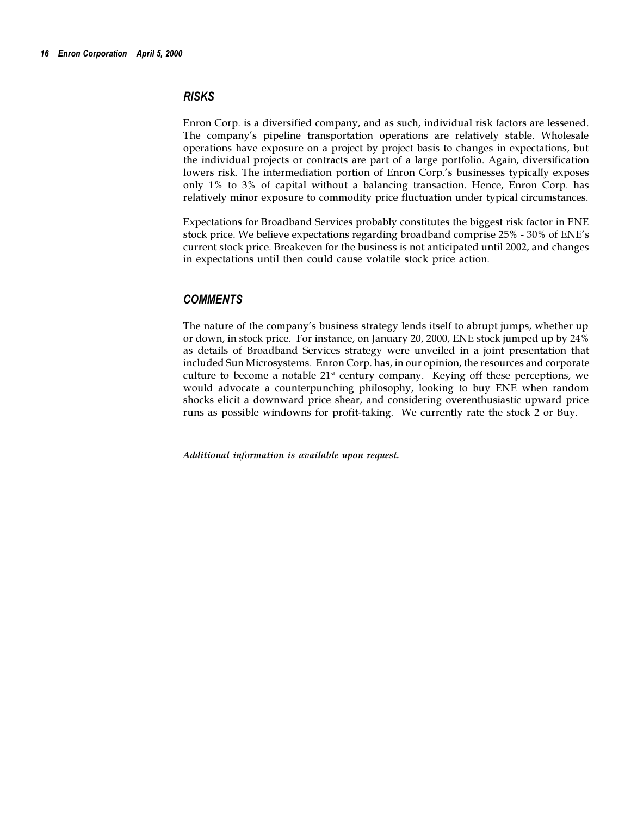# *RISKS*

Enron Corp. is a diversified company, and as such, individual risk factors are lessened. The company's pipeline transportation operations are relatively stable. Wholesale operations have exposure on a project by project basis to changes in expectations, but the individual projects or contracts are part of a large portfolio. Again, diversification lowers risk. The intermediation portion of Enron Corp.'s businesses typically exposes only 1% to 3% of capital without a balancing transaction. Hence, Enron Corp. has relatively minor exposure to commodity price fluctuation under typical circumstances.

Expectations for Broadband Services probably constitutes the biggest risk factor in ENE stock price. We believe expectations regarding broadband comprise 25% - 30% of ENE's current stock price. Breakeven for the business is not anticipated until 2002, and changes in expectations until then could cause volatile stock price action.

# *COMMENTS*

The nature of the company's business strategy lends itself to abrupt jumps, whether up or down, in stock price. For instance, on January 20, 2000, ENE stock jumped up by 24% as details of Broadband Services strategy were unveiled in a joint presentation that included Sun Microsystems. Enron Corp. has, in our opinion, the resources and corporate culture to become a notable  $21<sup>st</sup>$  century company. Keying off these perceptions, we would advocate a counterpunching philosophy, looking to buy ENE when random shocks elicit a downward price shear, and considering overenthusiastic upward price runs as possible windowns for profit-taking. We currently rate the stock 2 or Buy.

*Additional information is available upon request.*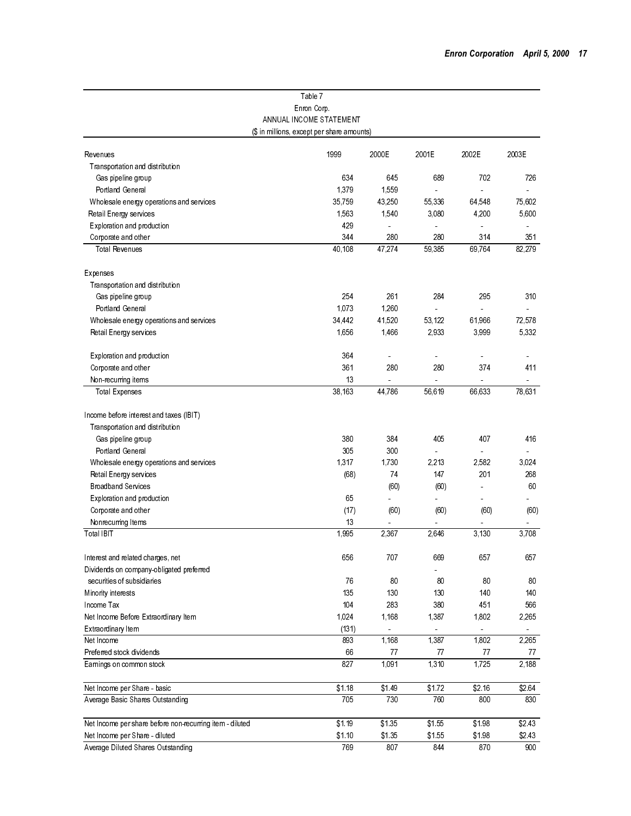|                                                                            | Table 7                                    |                      |        |        |        |
|----------------------------------------------------------------------------|--------------------------------------------|----------------------|--------|--------|--------|
|                                                                            | Enron Corp.                                |                      |        |        |        |
|                                                                            | ANNUAL INCOME STATEMENT                    |                      |        |        |        |
|                                                                            | (\$ in millions, except per share amounts) |                      |        |        |        |
| Revenues                                                                   | 1999                                       | 2000E                | 2001E  | 2002E  | 2003E  |
| Transportation and distribution                                            |                                            |                      |        |        |        |
| Gas pipeline group                                                         | 634                                        | 645                  | 689    | 702    | 726    |
| Portland General                                                           | 1,379                                      | 1,559                |        |        |        |
| Wholesale energy operations and services                                   | 35,759                                     | 43,250               | 55,336 | 64,548 | 75,602 |
| Retail Energy services                                                     | 1,563                                      | 1,540                | 3,080  | 4,200  | 5,600  |
| Exploration and production                                                 | 429                                        | ä,                   |        |        |        |
| Corporate and other                                                        | 344                                        | 280                  | 280    | 314    | 351    |
| <b>Total Revenues</b>                                                      | 40.108                                     | 47.274               | 59,385 | 69.764 | 82,279 |
|                                                                            |                                            |                      |        |        |        |
| Expenses                                                                   |                                            |                      |        |        |        |
| Transportation and distribution                                            |                                            |                      |        |        |        |
| Gas pipeline group                                                         | 254                                        | 261                  | 284    | 295    | 310    |
| Portland General                                                           | 1,073                                      | 1,260                |        |        |        |
| Wholesale energy operations and services                                   | 34,442                                     | 41,520               | 53,122 | 61,966 | 72,578 |
| Retail Energy services                                                     | 1,656                                      | 1,466                | 2,933  | 3,999  | 5,332  |
| Exploration and production                                                 | 364                                        | $\ddot{\phantom{a}}$ |        | ä,     |        |
| Corporate and other                                                        | 361                                        | 280                  | 280    | 374    | 411    |
| Non-recurring items                                                        | 13                                         | $\overline{a}$       |        | ä,     |        |
| <b>Total Expenses</b>                                                      | 38,163                                     | 44,786               | 56.619 | 66,633 | 78,631 |
|                                                                            |                                            |                      |        |        |        |
| Income before interest and taxes (IBIT)<br>Transportation and distribution |                                            |                      |        |        |        |
|                                                                            |                                            |                      |        | 407    |        |
| Gas pipeline group<br>Portland General                                     | 380<br>305                                 | 384<br>300           | 405    |        | 416    |
|                                                                            |                                            |                      |        | ä,     | a.     |
| Wholesale energy operations and services                                   | 1,317                                      | 1.730                | 2,213  | 2,582  | 3.024  |
| Retail Energy services                                                     | (68)                                       | 74                   | 147    | 201    | 268    |
| <b>Broadband Services</b>                                                  |                                            | (60)                 | (60)   |        | 60     |
| Exploration and production                                                 | 65                                         |                      |        | ä,     | ٠      |
| Corporate and other                                                        | (17)                                       | (60)                 | (60)   | (60)   | (60)   |
| Nonrecurring Items                                                         | 13<br>1.995                                | 2.367                |        | 3.130  | 3.708  |
| Total IBIT                                                                 |                                            |                      | 2.646  |        |        |
| Interest and related charges, net                                          | 656                                        | 707                  | 669    | 657    | 657    |
| Dividends on company-obligated preferred                                   |                                            |                      |        |        |        |
| securities of subsidiaries                                                 | 76                                         | 80                   | 80     | 80     | 80     |
| Minority interests                                                         | 135                                        | 130                  | 130    | 140    | 140    |
| Income Tax                                                                 | 104                                        | 283                  | 380    | 451    | 566    |
| Net Income Before Extraordinary Item                                       | 1,024                                      | 1,168                | 1,387  | 1,802  | 2,265  |
| Extraordinary Item                                                         | (131)                                      |                      |        |        |        |
| Net Income                                                                 | 893                                        | 1,168                | 1,387  | 1,802  | 2,265  |
| Preferred stock dividends                                                  | 66                                         | 77                   | 77     | 77     | 77     |
| Earnings on common stock                                                   | 827                                        | 1,091                | 1,310  | 1,725  | 2,188  |
| Net Income per Share basic                                                 | \$1.18                                     | \$1.49               | \$1.72 | \$2.16 | \$2.64 |
| Average Basic Shares Outstanding                                           | 705                                        | 730                  | 760    | 800    | 830    |
|                                                                            |                                            |                      |        |        |        |
| Net Income per share before non-recurring item - diluted                   | \$1.19                                     | $\overline{$}1.35$   | \$1.55 | \$1.98 | \$2.43 |
| Net Income per Share - diluted                                             | \$1.10                                     | \$1.35               | \$1.55 | \$1.98 | \$2.43 |
| Average Diluted Shares Outstanding                                         | 769                                        | 807                  | 844    | 870    | 900    |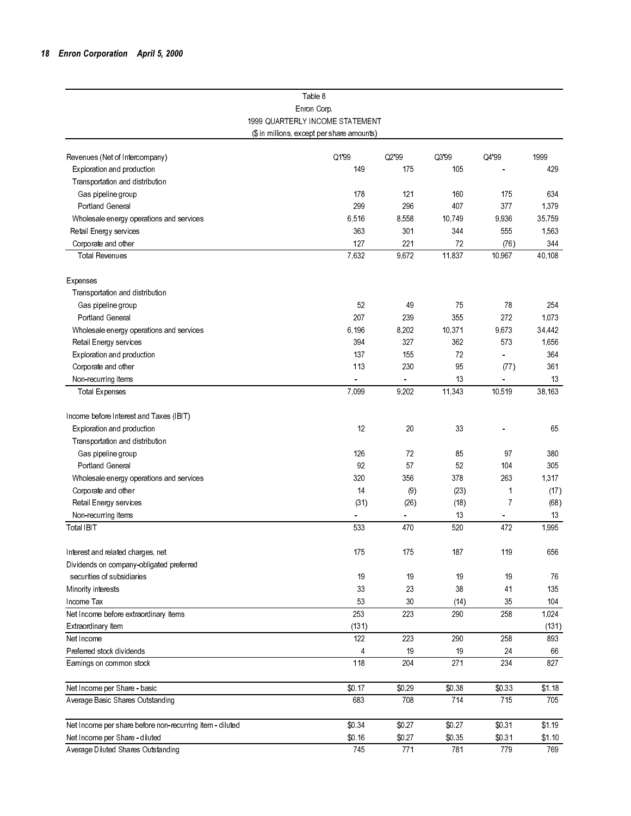|                                                          | Table 8                                    |                      |        |                |        |
|----------------------------------------------------------|--------------------------------------------|----------------------|--------|----------------|--------|
|                                                          | Enron Corp.                                |                      |        |                |        |
|                                                          | 1999 QUARTERLY INCOME STATEMENT            |                      |        |                |        |
|                                                          | (\$ in millions, except per share amounts) |                      |        |                |        |
|                                                          |                                            |                      |        |                |        |
| Revenues (Net of Intercompany)                           | Q1'99                                      | Q2'99                | Q3'99  | Q4'99          | 1999   |
| Exploration and production                               | 149                                        | 175                  | 105    |                | 429    |
| Transportation and distribution                          |                                            |                      |        |                |        |
| Gas pipeline group                                       | 178                                        | 121                  | 160    | 175            | 634    |
| Portland General                                         | 299                                        | 296                  | 407    | 377            | 1.379  |
| Wholesale energy operations and services                 | 6.516                                      | 8,558                | 10.749 | 9936           | 35,759 |
| Retail Energy services                                   | 363                                        | 301                  | 344    | 555            | 1,563  |
| Corporate and other                                      | 127                                        | 221                  | 72     | (76)           | 344    |
| <b>Total Revenues</b>                                    | 7,632                                      | 9,672                | 11,837 | 10,967         | 40,108 |
| Expenses                                                 |                                            |                      |        |                |        |
| Transportation and distribution                          |                                            |                      |        |                |        |
| Gas pipeline group                                       | 52                                         | 49                   | 75     | 78             | 254    |
| Portland General                                         | 207                                        | 239                  | 355    | 272            | 1.073  |
| Wholesale energy operations and services                 | 6.196                                      | 8,202                | 10.371 | 9,673          | 34,442 |
| Retail Energy services                                   | 394                                        | 327                  | 362    | 573            | 1.656  |
| Exploration and production                               | 137                                        | 155                  | 72     |                | 364    |
| Corporate and other                                      | 113                                        | 230                  | 95     | (77)           | 361    |
| Non-recurring items                                      |                                            | $\frac{1}{\sqrt{2}}$ | 13     |                | 13     |
| <b>Total Expenses</b>                                    | 7,099                                      | 9,202                | 11,343 | 10,519         | 38,163 |
|                                                          |                                            |                      |        |                |        |
| Income before Interest and Taxes (IBIT)                  |                                            |                      |        |                |        |
| Exploration and production                               | 12                                         | 20                   | 33     |                | 65     |
| Transportation and distribution                          |                                            |                      |        |                |        |
| Gas pipeline group                                       | 126                                        | 72                   | 85     | 97             | 380    |
| Portland General                                         | 92                                         | 57                   | 52     | 104            | 305    |
| Wholesale energy operations and services                 | 320                                        | 356                  | 378    | 263            | 1,317  |
| Corporate and other                                      | 14                                         | (9)                  | (23)   | 1              | (17)   |
| Retail Energy services                                   | (31)                                       | (26)                 | (18)   | $\overline{7}$ | (68)   |
| Non-recurring items                                      |                                            |                      | 13     |                | 13     |
| Total IBIT                                               | 533                                        | 470                  | 520    | 472            | 1,995  |
| Interest and related charges, net                        | 175                                        | 175                  | 187    | 119            | 656    |
| Dividends on company-obligated preferred                 |                                            |                      |        |                |        |
| securities of subsidiaries                               | 19                                         | 19                   | 19     | 19             | 76     |
| Minority interests                                       | 33                                         | 23                   | 38     | 41             | 135    |
| Income Tax                                               | 53                                         | 30                   | (14)   | 35             | 104    |
| Net Income before extraordinary items                    | 253                                        | 223                  | 290    | 258            | 1,024  |
| Extraordinary item                                       | (131)                                      |                      |        |                | (131)  |
| Net Income                                               | 122                                        | 223                  | 290    | 258            | 893    |
| Preferred stock dividends                                | 4                                          | 19                   | 19     | 24             | 66     |
| Earnings on common stock                                 | 118                                        | 204                  | 271    | 234            | 827    |
| Net Income per Share - basic                             | \$0.17                                     | \$0.29               | \$0.38 | \$0.33         | \$1.18 |
| Average Basic Shares Outstanding                         | 683                                        | 708                  | 714    | 715            | 705    |
|                                                          |                                            |                      |        |                |        |
| Net Income per share before non-recurring item - diluted | \$0.34                                     | \$0.27               | \$0.27 | \$0.31         | \$1.19 |
| Net Income per Share - diluted                           | \$0.16                                     | \$0.27               | \$0.35 | \$031          | \$1.10 |
| Average Diluted Shares Outstanding                       | 745                                        | 771                  | 781    | 779            | 769    |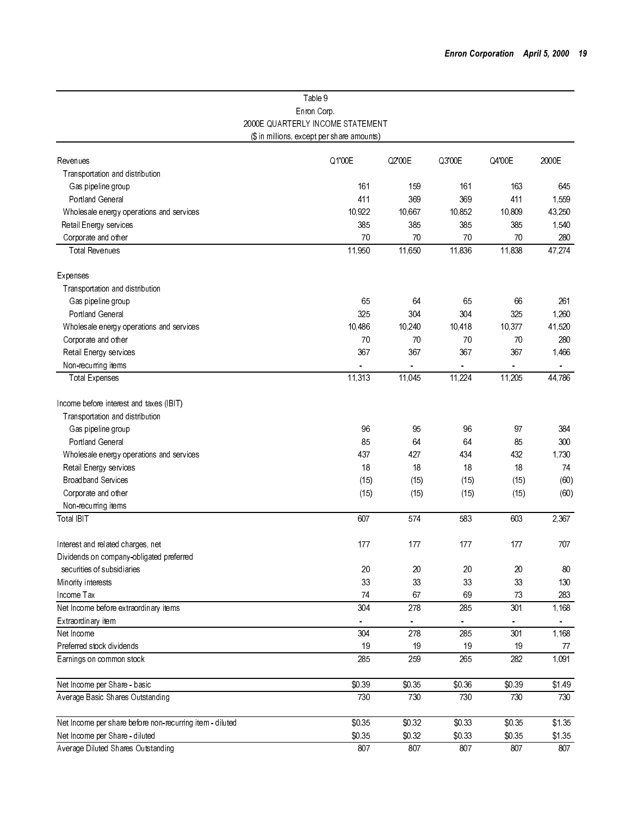|                                                          | Table 9                                    |          |          |                |        |
|----------------------------------------------------------|--------------------------------------------|----------|----------|----------------|--------|
|                                                          | Enron Corp.                                |          |          |                |        |
|                                                          | 2000E QUARTERLY INCOME STATEMENT           |          |          |                |        |
|                                                          | (\$ in millions, except per share amounts) |          |          |                |        |
|                                                          |                                            |          |          |                |        |
| Revenues                                                 | Q1'00E                                     | Q2'00E   | Q3'00E   | Q4'00E         | 2000E  |
| Transportation and distribution                          |                                            |          |          |                |        |
| Gas pipeline group                                       | 161                                        | 159      | 161      | 163            | 645    |
| <b>Portland General</b>                                  | 411                                        | 369      | 369      | 411            | 1,559  |
| Wholesale energy operations and services                 | 10,922                                     | 10,667   | 10,852   | 10,809         | 43,250 |
| Retail Energy services                                   | 385                                        | 385      | 385      | 385            | 1,540  |
| Corporate and other                                      | 70                                         | 70       | 70       | 70             | 280    |
| Total Revenues                                           | 11,950                                     | 11,650   | 11,836   | 11,838         | 47,274 |
| Expenses                                                 |                                            |          |          |                |        |
| Transportation and distribution                          |                                            |          |          |                |        |
| Gas pipeline group                                       | 65                                         | 64       | 65       | 66             | 261    |
| Portland General                                         | 325                                        | 304      | 304      | 325            | 1,260  |
| Wholesale energy operations and services                 | 10.486                                     | 10,240   | 10,418   | 10,377         | 41,520 |
| Corporate and other                                      | 70                                         | 70       | 70       | 70             | 280    |
| Retail Energy services                                   | 367                                        | 367      | 367      | 367            | 1,466  |
| Non-recurring items                                      |                                            |          |          |                |        |
| <b>Total Expenses</b>                                    | 11,313                                     | 11.045   | 11,224   | 11,205         | 44,786 |
| Income before interest and taxes (IBIT)                  |                                            |          |          |                |        |
| Transportation and distribution                          |                                            |          |          |                |        |
| Gas pipeline group                                       | 96                                         | 95       | 96       | 97             | 384    |
| <b>Portland General</b>                                  | 85                                         | 64       | 64       | 85             | 300    |
| Wholesale energy operations and services                 | 437                                        | 427      | 434      | 432            | 1,730  |
| Retail Energy services                                   | 18                                         | 18       | 18       | 18             | 74     |
| <b>Broadband Services</b>                                |                                            | (15)     | (15)     | (15)           | (60)   |
| Corporate and other                                      | (15)                                       |          | (15)     |                | (60)   |
|                                                          | (15)                                       | (15)     |          | (15)           |        |
| Non-recurring items<br>Total IBIT                        | 607                                        | 574      | 583      | 603            | 2,367  |
|                                                          |                                            |          |          |                |        |
| Interest and related charges, net                        | 177                                        | 177      | 177      | 177            | 707    |
| Dividends on company-obligated preferred                 |                                            |          |          |                |        |
| securities of subsidiaries                               | 20                                         | 20       | 20       | 20             | 80     |
| Minority interests                                       | 33                                         | 33       | 33       | 33             | 130    |
| Income Tax                                               | 74                                         | 67       | 69       | $73\,$         | 283    |
| Net Income before extraordinary items                    | 304                                        | 278      | 285      | 301            | 1,168  |
| Extraordinary item                                       | $\equiv$                                   | $\equiv$ | $\equiv$ | $\blacksquare$ | $\sim$ |
| Net Income                                               | 304                                        | 278      | 285      | 301            | 1,168  |
| Preferred stock dividends                                | 19                                         | 19       | 19       | 19             | 77     |
| Earnings on common stock                                 | 285                                        | 259      | 265      | 282            | 1,091  |
| Net Income per Share - basic                             | \$0.39                                     | \$0.35   | \$0.36   | \$0.39         | \$149  |
| Average Basic Shares Outstanding                         | 730                                        | 730      | 730      | 730            | 730    |
|                                                          |                                            |          |          |                |        |
| Net Income per share before non-recurring item - diluted | \$0.35                                     | \$0.32   | \$0.33   | \$0.35         | \$1.35 |
| Net Income per Share - diluted                           | \$0.35                                     | \$0.32   | \$0.33   | \$0.35         | \$1.35 |
| Average Diluted Shares Outstanding                       | 807                                        | 807      | 807      | 807            | 807    |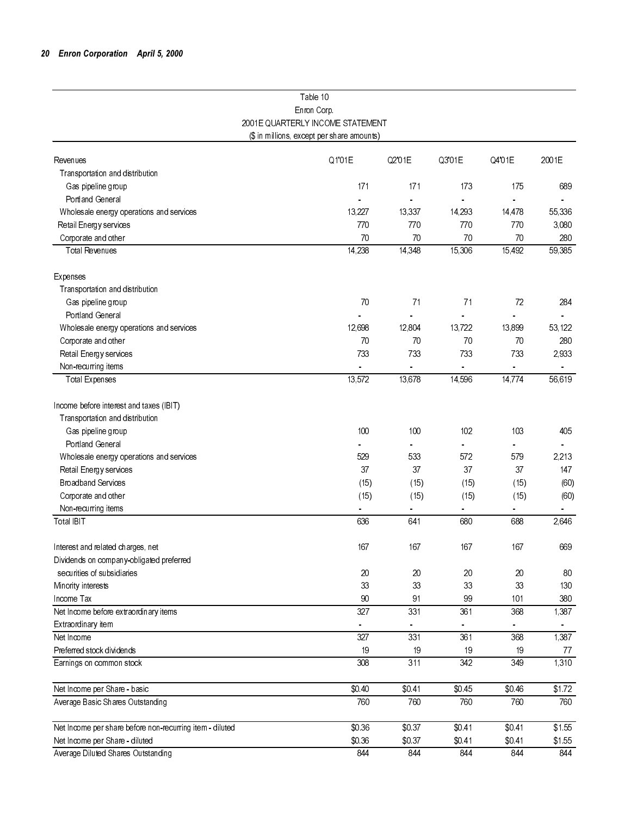|                                                          | Table 10                                   |                      |          |          |                  |
|----------------------------------------------------------|--------------------------------------------|----------------------|----------|----------|------------------|
|                                                          | Enron Corp.                                |                      |          |          |                  |
|                                                          | 2001 E QUARTERLY INCOME STATEMENT          |                      |          |          |                  |
|                                                          | (\$ in millions, except per share amounts) |                      |          |          |                  |
| Revenues                                                 | Q1'01E                                     | Q2'01E               | Q3'01E   | Q4'01E   | 2001E            |
| Transportation and distribution                          |                                            |                      |          |          |                  |
| Gas pipeline group                                       | 171                                        | 171                  | 173      | 175      | 689              |
| Portland General                                         | ä,                                         | $\omega$             | $\equiv$ |          |                  |
| Wholesale energy operations and services                 | 13,227                                     | 13,337               | 14,293   | 14,478   | 55,336           |
| Retail Energy services                                   | 770                                        | 770                  | 770      | 770      | 3,080            |
| Corporate and other                                      | 70                                         | 70                   | 70       | 70       | 280              |
| <b>Total Revenues</b>                                    | 14,238                                     | 14,348               | 15,306   | 15,492   | 59,385           |
| Expenses                                                 |                                            |                      |          |          |                  |
| Transportation and distribution                          |                                            |                      |          |          |                  |
| Gas pipeline group                                       | 70                                         | 71                   | 71       | 72       | 284              |
| Portland General                                         |                                            |                      |          |          |                  |
| Wholesale energy operations and services                 | 12,698                                     | 12,804               | 13,722   | 13,899   | 53,122           |
| Corporate and other                                      | 70                                         | 70                   | 70       | 70       | 280              |
| Retail Energy services                                   | 733                                        | 733                  | 733      | 733      | 2,933            |
| Non-recurring items                                      |                                            | $\frac{1}{\sqrt{2}}$ | ÷,       | $\omega$ | $\omega_{\rm c}$ |
| <b>Total Expenses</b>                                    | 13,572                                     | 13,678               | 14,596   | 14,774   | 56,619           |
| Income before interest and taxes (IBIT)                  |                                            |                      |          |          |                  |
| Transportation and distribution                          |                                            |                      |          |          |                  |
| Gas pipeline group                                       | 100                                        | 100                  | 102      | 103      | 405              |
| Portland General                                         |                                            |                      |          |          |                  |
| Wholesale energy operations and services                 | 529                                        | 533                  | 572      | 579      | 2,213            |
| Retail Energy services                                   | 37                                         | 37                   | 37       | 37       | 147              |
| <b>Broadband Services</b>                                | (15)                                       | (15)                 | (15)     | (15)     | (60)             |
| Corporate and other                                      | (15)                                       | (15)                 | (15)     | (15)     | (60)             |
| Non-recurring items                                      |                                            | $\equiv$             |          |          |                  |
| Total IBIT                                               | 636                                        | 641                  | 680      | 688      | 2,646            |
| Interest and related charges, net                        | 167                                        | 167                  | 167      | 167      | 669              |
| Dividends on company-obligated preferred                 |                                            |                      |          |          |                  |
| securities of subsidiaries                               | 20                                         | 20                   | 20       | 20       | 80               |
| Minority interests                                       | 33                                         | 33                   | 33       | 33       | 130              |
| Income Tax                                               | 90                                         | 91                   | 99       | 101      | 380              |
| Net Income before extraordinary items                    | 327                                        | 331                  | 361      | 368      | 1,387            |
| Extraordinary item                                       |                                            |                      |          |          |                  |
| Net Income                                               | 327                                        | 331                  | 361      | 368      | 1,387            |
| Preferred stock dividends                                | 19                                         | 19                   | 19       | 19       | 77               |
| Earnings on common stock                                 | 308                                        | 311                  | 342      | 349      | 1,310            |
| Net Income per Share - basic                             | \$0.40                                     | \$0.41               | \$0.45   | \$0.46   | $\sqrt{$1.72}$   |
| Average Basic Shares Outstanding                         | 760                                        | 760                  | 760      | 760      | 760              |
| Net Income per share before non-recurring item - diluted | \$0,36                                     | \$0.37               | \$0.41   | \$0.41   | \$1.55           |
| Net Income per Share - diluted                           | \$0.36                                     | \$0.37               | \$0.41   | \$0.41   | \$1.55           |
| Average Diluted Shares Outstanding                       | 844                                        | 844                  | 844      | 844      | 844              |